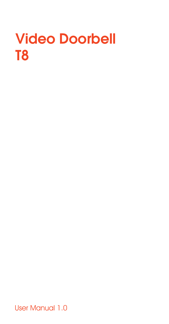# Video Doorbell T8

User Manual 1.0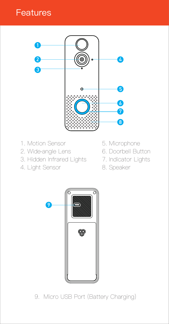### **Features**



- 1. Motion Sensor
- 2. Wide-angle Lens
- 3. Hidden Infrared Lights
- 4. Light Sensor
- 5. Microphone
- 6. Doorbell Button
- 7. Indicator Lights
- 8. Speaker



9. Micro USB Port (Battery Charging)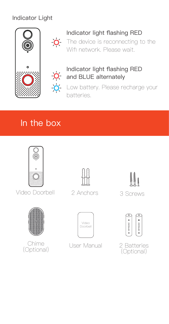#### Indicator Light





#### Indicator light flashing RED

 $\overline{O}$  The device is reconnecting to the Wifi network. Please wait



#### Indicator light flashing RED and BLUE alternately

Low battery. Please recharge your batteries.

### In the box



Video Doorbell 2 Anchors 3 Screws







2 Anchors







(Optional)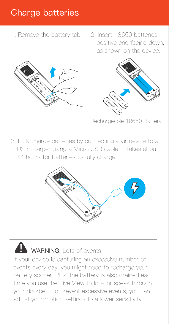### Charge batteries

- 1. Remove the battery tab.
- 2. Insert 18650 batteries positive end facing down, as shown on the device.





Rechargeable 18650 Battery

3. Fully charge batteries by connecting your device to a USB charger using a Micro USB cable. It takes about 14 hours for batteries to fully charge.





If your device is capturing an excessive number of events every day, you might need to recharge your battery sooner. Plus, the battery is also drained each time you use the Live View to look or speak through your doorbell. To prevent excessive events, you can adjust your motion settings to a lower sensitivity.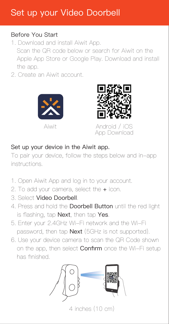### Set up your Video Doorbell

#### Before You Start

- 1. Download and install Aiwit App. Scan the QR code below or search for Aiwit on the Apple App Store or Google Play. Download and install the app.
- 2. Create an Aiwit account.





Aiwit Android / iOS App Download

#### Set up your device in the Aiwit app.

To pair your device, follow the steps below and in-app instructions.

- 1. Open Aiwit App and log in to your account.
- 2. To add your camera, select the + icon.
- 3. Select Video Doorbell.
- 4. Press and hold the Doorbell Button until the red light is flashing, tap Next, then tap Yes.
- 5. Enter your 2.4GHz Wi-Fi network and the Wi-Fi password, then tap Next (5GHz is not supported).
- 6. Use your device camera to scan the QR Code shown on the app, then select **Confirm** once the Wi-Fi setup has finished.



 $4$  inches  $(10 \text{ cm})$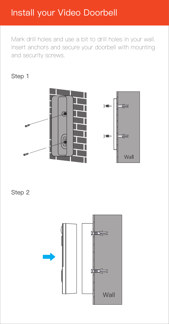### Install your Video Doorbell

Mark drill holes and use a bit to drill holes in your wall. Insert anchors and secure your doorbell with mounting and security screws.

#### Step 1



Step 2

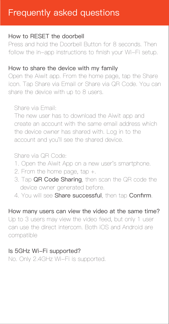### Frequently asked questions

#### How to RESET the doorbell

Press and hold the Doorbell Button for 8 seconds. Then follow the in-app instructions to finish your Wi-Fi setup.

#### How to share the device with my family

Open the Aiwit app. From the home page, tap the Share icon. Tap Share via Email or Share via QR Code. You can share the device with up to 8 users.

Share via Email:

 The new user has to download the Aiwit app and create an account with the same email address which the device owner has shared with. Log in to the account and you'll see the shared device.

#### Share via QR Code:

- 1. Open the Aiwit App on a new user's smartphone.
- 2. From the home page, tap +.
- 3. Tap QR Code Sharing, then scan the QR code the device owner generated before.
- 4. You will see Share successful, then tap Confirm.

How many users can view the video at the same time? Up to 3 users may view the video feed, but only 1 user can use the direct intercom. Both iOS and Android are

### compatible

#### Is 5GHz Wi-Fi supported?

No. Only 2.4GHz Wi-Fi is supported.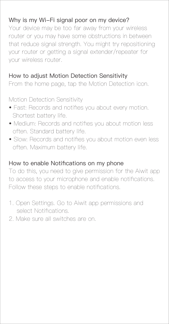#### Why is my Wi-Fi signal poor on my device?

Your device may be too far away from your wireless router or you may have some obstructions in between that reduce signal strength. You might try repositioning your router or getting a signal extender/repeater for your wireless router.

#### How to adjust Motion Detection Sensitivity

From the home page, tap the Motion Detection icon.

Motion Detection Sensitivity

- Fast: Records and notifies you about every motion. Shortest battery life.
- Medium: Records and notifies you about motion less often. Standard battery life.
- Slow: Records and notifies you about motion even less often. Maximum battery life.

#### How to enable Notifications on my phone

To do this, you need to give permission for the Aiwit app to access to your microphone and enable notifications. Follow these steps to enable notifications.

- 1. Open Settings. Go to Aiwit app permissions and select Notifications.
- 2. Make sure all switches are on.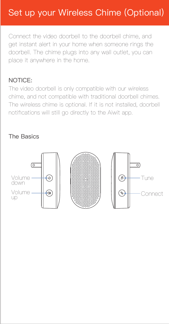## Set up your Wireless Chime (Optional)

Connect the video doorbell to the doorbell chime, and get instant alert in your home when someone rings the doorbell. The chime plugs into any wall outlet, you can place it anywhere in the home.

#### NOTICE:

The video doorbell is only compatible with our wireless chime, and not compatible with traditional doorbell chimes. The wireless chime is optional. If it is not installed, doorbell notifications will still go directly to the Aiwit app.

#### The Basics

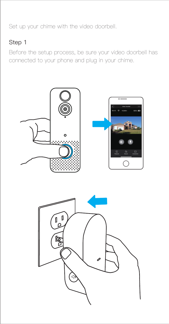Set up your chime with the video doorbell.

#### Step 1

Before the setup process, be sure your video doorbell has connected to your phone and plug in your chime.